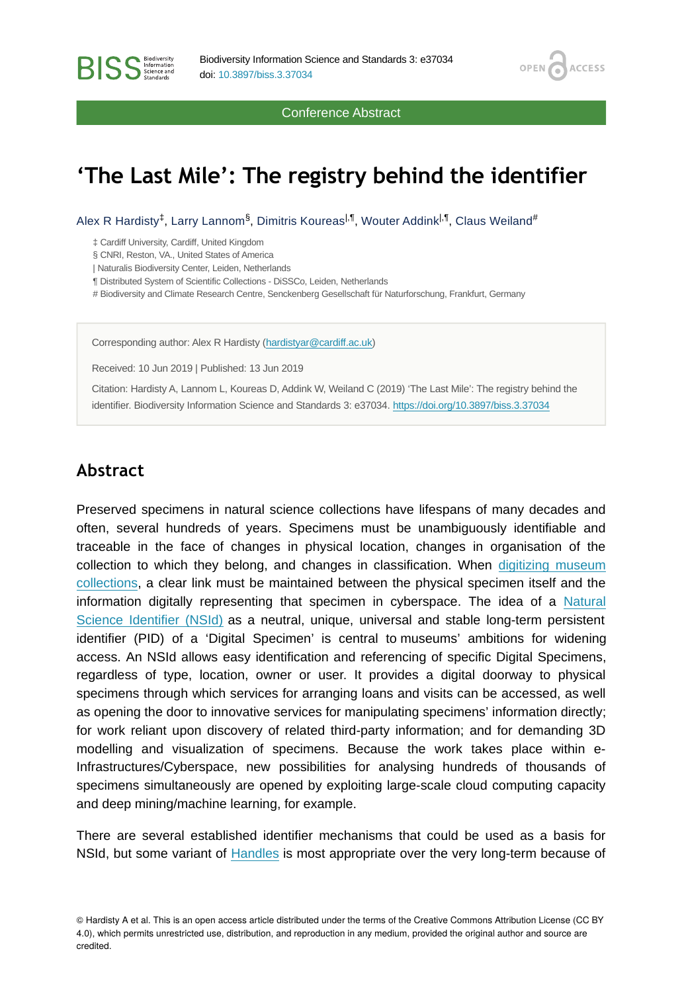Conference Abstract

OPEN /

**ACCESS** 

# **'The Last Mile': The registry behind the identifier**

Alex R Hardisty<sup>‡</sup>, Larry Lannom<sup>§</sup>, Dimitris Koureas<sup>|,¶</sup>, Wouter Addink<sup>|,¶</sup>, Claus Weiland<sup>#</sup>

‡ Cardiff University, Cardiff, United Kingdom

**BISS** Steince and

§ CNRI, Reston, VA., United States of America

| Naturalis Biodiversity Center, Leiden, Netherlands

¶ Distributed System of Scientific Collections - DiSSCo, Leiden, Netherlands

# Biodiversity and Climate Research Centre, Senckenberg Gesellschaft für Naturforschung, Frankfurt, Germany

Corresponding author: Alex R Hardisty [\(hardistyar@cardiff.ac.uk](mailto:hardistyar@cardiff.ac.uk))

Received: 10 Jun 2019 | Published: 13 Jun 2019

Citation: Hardisty A, Lannom L, Koureas D, Addink W, Weiland C (2019) 'The Last Mile': The registry behind the identifier. Biodiversity Information Science and Standards 3: e37034.<https://doi.org/10.3897/biss.3.37034>

#### **Abstract**

Preserved specimens in natural science collections have lifespans of many decades and often, several hundreds of years. Specimens must be unambiguously identifiable and traceable in the face of changes in physical location, changes in organisation of the collection to which they belong, and changes in classification. When [digitizing museum](http://www.nhm.ac.uk/our-science/our-work/digital-museum/digital-collections-programme.html) [collections](http://www.nhm.ac.uk/our-science/our-work/digital-museum/digital-collections-programme.html), a clear link must be maintained between the physical specimen itself and the information digitally representing that specimen in cyberspace. The idea of a [Natural](http://bit.ly/widenaccess) [Science Identifier \(NSId\)](http://bit.ly/widenaccess) as a neutral, unique, universal and stable long-term persistent identifier (PID) of a 'Digital Specimen' is central to museums' ambitions for widening access. An NSId allows easy identification and referencing of specific Digital Specimens, regardless of type, location, owner or user. It provides a digital doorway to physical specimens through which services for arranging loans and visits can be accessed, as well as opening the door to innovative services for manipulating specimens' information directly; for work reliant upon discovery of related third-party information; and for demanding 3D modelling and visualization of specimens. Because the work takes place within e-Infrastructures/Cyberspace, new possibilities for analysing hundreds of thousands of specimens simultaneously are opened by exploiting large-scale cloud computing capacity and deep mining/machine learning, for example.

There are several established identifier mechanisms that could be used as a basis for NSId, but some variant of [Handles](https://www.dona.net/handle-system) is most appropriate over the very long-term because of

<sup>©</sup> Hardisty A et al. This is an open access article distributed under the terms of the Creative Commons Attribution License (CC BY 4.0), which permits unrestricted use, distribution, and reproduction in any medium, provided the original author and source are credited.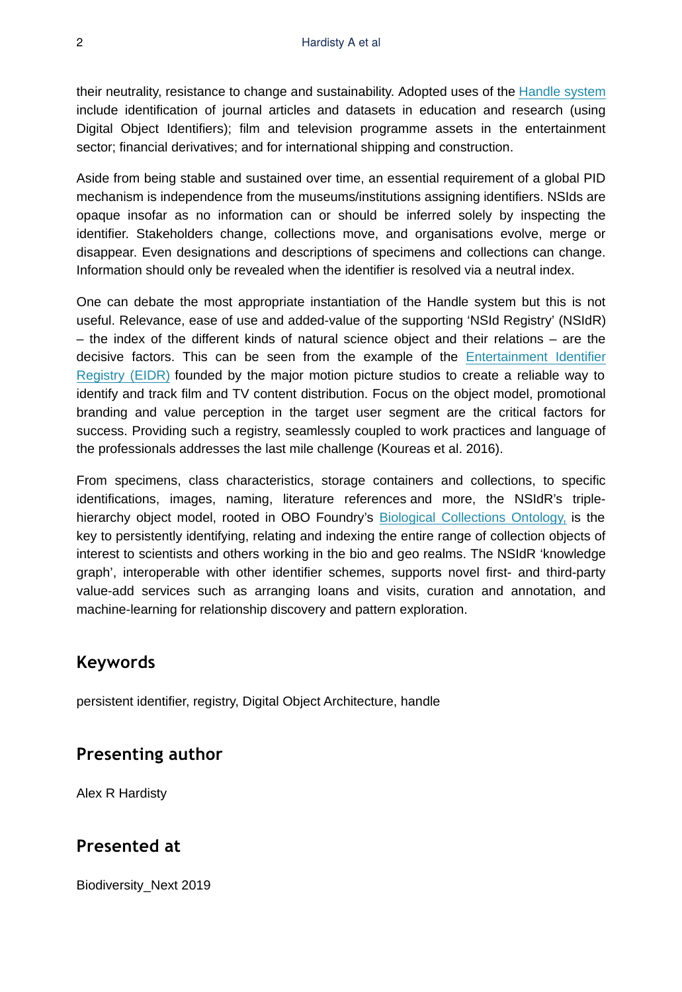their neutrality, resistance to change and sustainability. Adopted uses of the [Handle system](https://www.dona.net/handle-system) include identification of journal articles and datasets in education and research (using Digital Object Identifiers); film and television programme assets in the entertainment sector; financial derivatives; and for international shipping and construction.

Aside from being stable and sustained over time, an essential requirement of a global PID mechanism is independence from the museums/institutions assigning identifiers. NSIds are opaque insofar as no information can or should be inferred solely by inspecting the identifier. Stakeholders change, collections move, and organisations evolve, merge or disappear. Even designations and descriptions of specimens and collections can change. Information should only be revealed when the identifier is resolved via a neutral index.

One can debate the most appropriate instantiation of the Handle system but this is not useful. Relevance, ease of use and added-value of the supporting 'NSId Registry' (NSIdR) – the index of the different kinds of natural science object and their relations – are the decisive factors. This can be seen from the example of the [Entertainment Identifier](https://eidr.org/) [Registry \(EIDR\)](https://eidr.org/) founded by the major motion picture studios to create a reliable way to identify and track film and TV content distribution. Focus on the object model, promotional branding and value perception in the target user segment are the critical factors for success. Providing such a registry, seamlessly coupled to work practices and language of the professionals addresses the last mile challenge (Koureas et al. 2016).

From specimens, class characteristics, storage containers and collections, to specific identifications, images, naming, literature references and more, the NSIdR's triplehierarchy object model, rooted in OBO Foundry's [Biological Collections Ontology,](http://www.obofoundry.org/ontology/bco.html) is the key to persistently identifying, relating and indexing the entire range of collection objects of interest to scientists and others working in the bio and geo realms. The NSIdR 'knowledge graph', interoperable with other identifier schemes, supports novel first- and third-party value-add services such as arranging loans and visits, curation and annotation, and machine-learning for relationship discovery and pattern exploration.

# **Keywords**

persistent identifier, registry, Digital Object Architecture, handle

#### **Presenting author**

Alex R Hardisty

#### **Presented at**

Biodiversity\_Next 2019